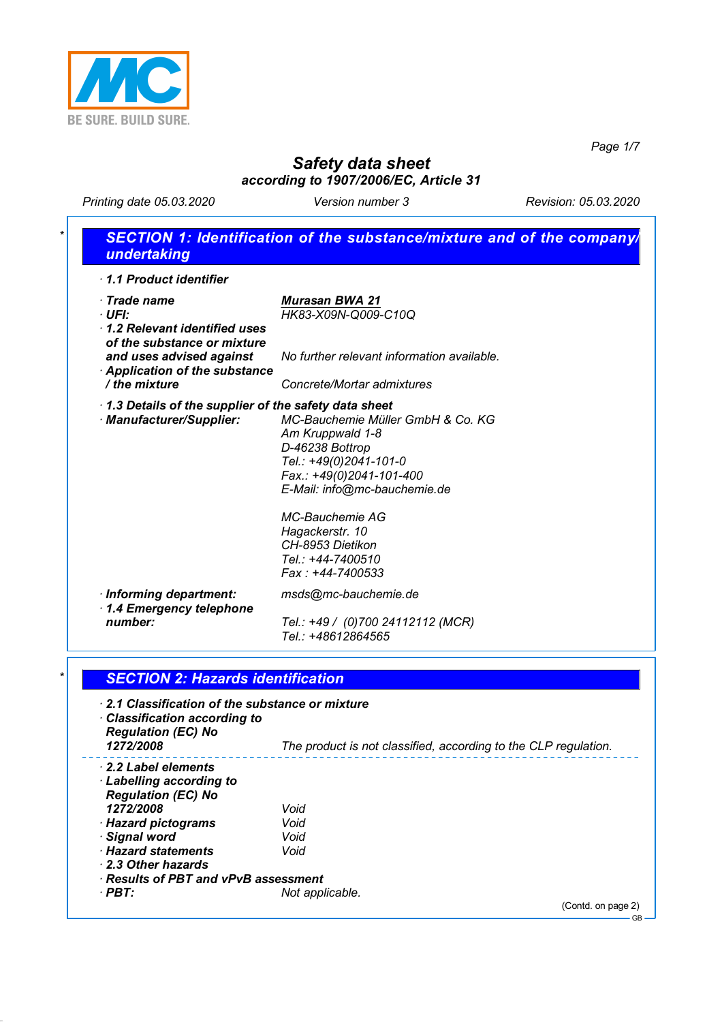

*Page 1/7*

# *Safety data sheet according to 1907/2006/EC, Article 31*

*Printing date 05.03.2020 Version number 3 Revision: 05.03.2020*

| 1.1 Product identifier                               |                                                                 |
|------------------------------------------------------|-----------------------------------------------------------------|
| · Trade name                                         | <b>Murasan BWA 21</b>                                           |
| · UFI:                                               | HK83-X09N-Q009-C10Q                                             |
| 1.2 Relevant identified uses                         |                                                                 |
| of the substance or mixture                          |                                                                 |
| and uses advised against                             | No further relevant information available.                      |
| Application of the substance<br>/ the mixture        | Concrete/Mortar admixtures                                      |
|                                                      |                                                                 |
| 1.3 Details of the supplier of the safety data sheet | MC-Bauchemie Müller GmbH & Co. KG                               |
| · Manufacturer/Supplier:                             | Am Kruppwald 1-8                                                |
|                                                      | D-46238 Bottrop                                                 |
|                                                      | Tel.: +49(0)2041-101-0                                          |
|                                                      | Fax.: +49(0)2041-101-400                                        |
|                                                      | E-Mail: info@mc-bauchemie.de                                    |
|                                                      | <b>MC-Bauchemie AG</b>                                          |
|                                                      | Hagackerstr. 10                                                 |
|                                                      | CH-8953 Dietikon                                                |
|                                                      | Tel.: +44-7400510                                               |
|                                                      | Fax: +44-7400533                                                |
| · Informing department:<br>1.4 Emergency telephone   | msds@mc-bauchemie.de                                            |
| number:                                              | Tel.: +49 / (0)700 24112112 (MCR)                               |
|                                                      | Tel.: +48612864565                                              |
|                                                      |                                                                 |
| <b>SECTION 2: Hazards identification</b>             |                                                                 |
| 2.1 Classification of the substance or mixture       |                                                                 |
| · Classification according to                        |                                                                 |
| <b>Regulation (EC) No</b>                            |                                                                 |
| 1272/2008                                            | The product is not classified, according to the CLP regulation. |
| <b>2.2 Label elements</b>                            |                                                                 |
| <b>Labelling according to</b>                        |                                                                 |
| <b>Regulation (EC) No</b>                            |                                                                 |
| 1272/2008                                            | Void                                                            |
| · Hazard pictograms                                  | Void                                                            |
| · Signal word<br>· Hazard statements                 | Void<br>Void                                                    |
|                                                      |                                                                 |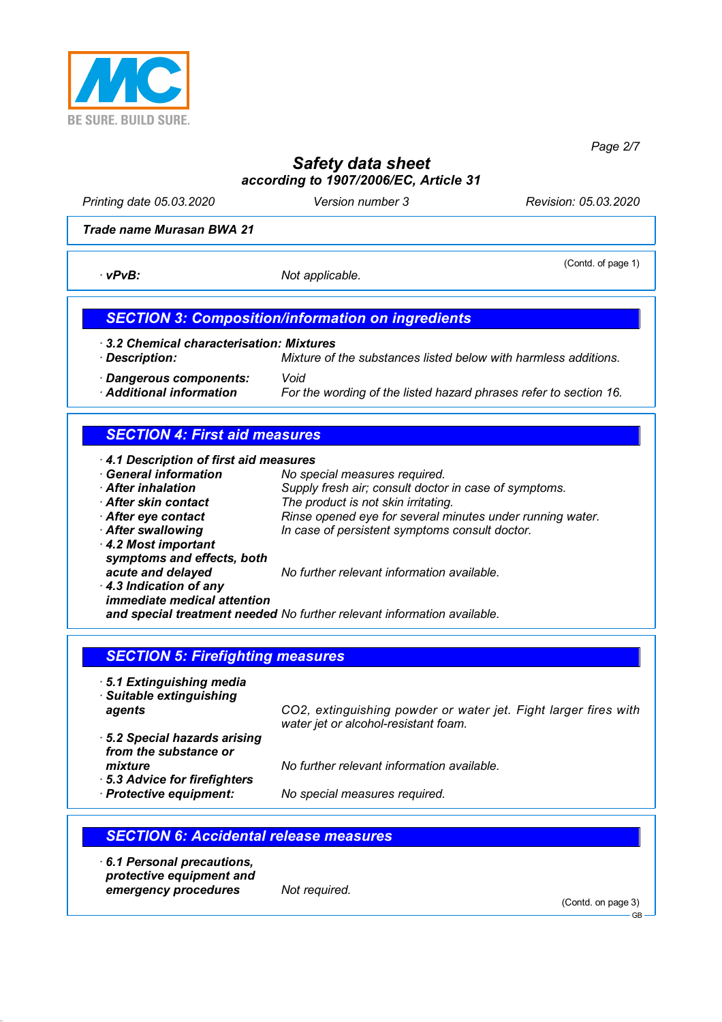

*Page 2/7*

# *Safety data sheet according to 1907/2006/EC, Article 31*

*Printing date 05.03.2020 Version number 3 Revision: 05.03.2020*

#### *Trade name Murasan BWA 21*

*· vPvB: Not applicable.* 

(Contd. of page 1)

### *SECTION 3: Composition/information on ingredients*

*· 3.2 Chemical characterisation: Mixtures*

*· Description: Mixture of the substances listed below with harmless additions. · Dangerous components: Void* For the wording of the listed hazard phrases refer to section 16.

### *SECTION 4: First aid measures*

| 4.1 Description of first aid measures |                                                                         |
|---------------------------------------|-------------------------------------------------------------------------|
| <b>General information</b>            | No special measures required.                                           |
| After inhalation                      | Supply fresh air; consult doctor in case of symptoms.                   |
| After skin contact                    | The product is not skin irritating.                                     |
| After eye contact                     | Rinse opened eye for several minutes under running water.               |
| After swallowing                      | In case of persistent symptoms consult doctor.                          |
| 4.2 Most important                    |                                                                         |
| symptoms and effects, both            |                                                                         |
| acute and delayed                     | No further relevant information available.                              |
| $\cdot$ 4.3 Indication of any         |                                                                         |
| <i>immediate medical attention</i>    |                                                                         |
|                                       | and special treatment needed No further relevant information available. |

#### *SECTION 5: Firefighting measures*

*· 5.1 Extinguishing media · Suitable extinguishing*

*agents CO2, extinguishing powder or water jet. Fight larger fires with water jet or alcohol-resistant foam.*

- *· 5.2 Special hazards arising from the substance or mixture No further relevant information available.*
- *· 5.3 Advice for firefighters*

*· Protective equipment: No special measures required.*

### *SECTION 6: Accidental release measures*

*· 6.1 Personal precautions, protective equipment and emergency procedures Not required.*

(Contd. on page 3)

GB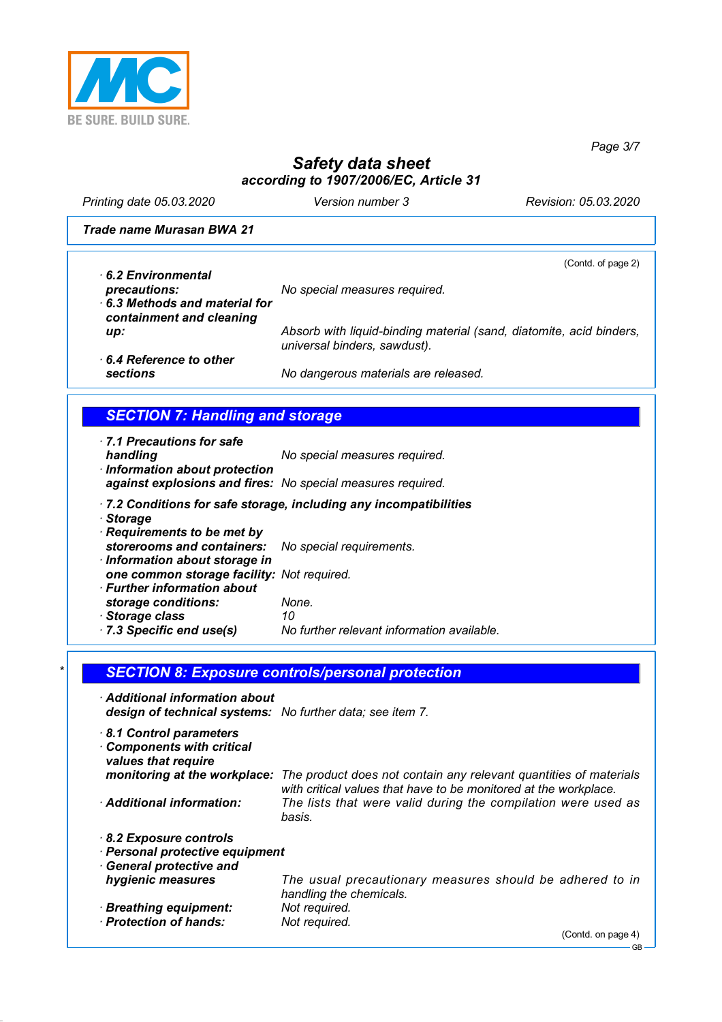

*Page 3/7*

# *Safety data sheet according to 1907/2006/EC, Article 31*

*Printing date 05.03.2020 Version number 3 Revision: 05.03.2020*

*Trade name Murasan BWA 21*

| 6.2 Environmental                                        | (Contd. of page 2)                                                                                  |
|----------------------------------------------------------|-----------------------------------------------------------------------------------------------------|
| precautions:                                             | No special measures required.                                                                       |
| 6.3 Methods and material for<br>containment and cleaning |                                                                                                     |
| up:                                                      | Absorb with liquid-binding material (sand, diatomite, acid binders,<br>universal binders, sawdust). |
| $\cdot$ 6.4 Reference to other<br><b>sections</b>        | No dangerous materials are released.                                                                |

## *SECTION 7: Handling and storage*

| 7.1 Precautions for safe                                    |                                                                  |
|-------------------------------------------------------------|------------------------------------------------------------------|
| handling                                                    | No special measures required.                                    |
| · Information about protection                              |                                                                  |
| against explosions and fires: No special measures required. |                                                                  |
| $.$ Ctarage                                                 | 7.2 Conditions for safe storage, including any incompatibilities |

- *· Storage*
- *· Requirements to be met by storerooms and containers: No special requirements. · Information about storage in one common storage facility: Not required. · Further information about*
- *storage conditions: None.*
- 

*· Storage class 10 · 7.3 Specific end use(s) No further relevant information available.*

| $\star$ | <u> SECTION 8: Exposure controls/personal protection </u> |  |  |
|---------|-----------------------------------------------------------|--|--|
|         |                                                           |  |  |

| Additional information about<br>design of technical systems: No further data; see item 7. |                                                                                                                                       |
|-------------------------------------------------------------------------------------------|---------------------------------------------------------------------------------------------------------------------------------------|
| 8.1 Control parameters<br><b>Components with critical</b><br>values that require          |                                                                                                                                       |
| monitoring at the workplace:                                                              | The product does not contain any relevant quantities of materials<br>with critical values that have to be monitored at the workplace. |
| Additional information:                                                                   | The lists that were valid during the compilation were used as<br>basis.                                                               |
| 8.2 Exposure controls<br>· Personal protective equipment<br>· General protective and      |                                                                                                                                       |
| hygienic measures                                                                         | The usual precautionary measures should be adhered to in<br>handling the chemicals.                                                   |
| · Breathing equipment:                                                                    | Not required.                                                                                                                         |
| · Protection of hands:                                                                    | Not required.<br>$(C_{\text{onld}} \cap \text{base } A)$                                                                              |
|                                                                                           |                                                                                                                                       |

(Contd. on page

GB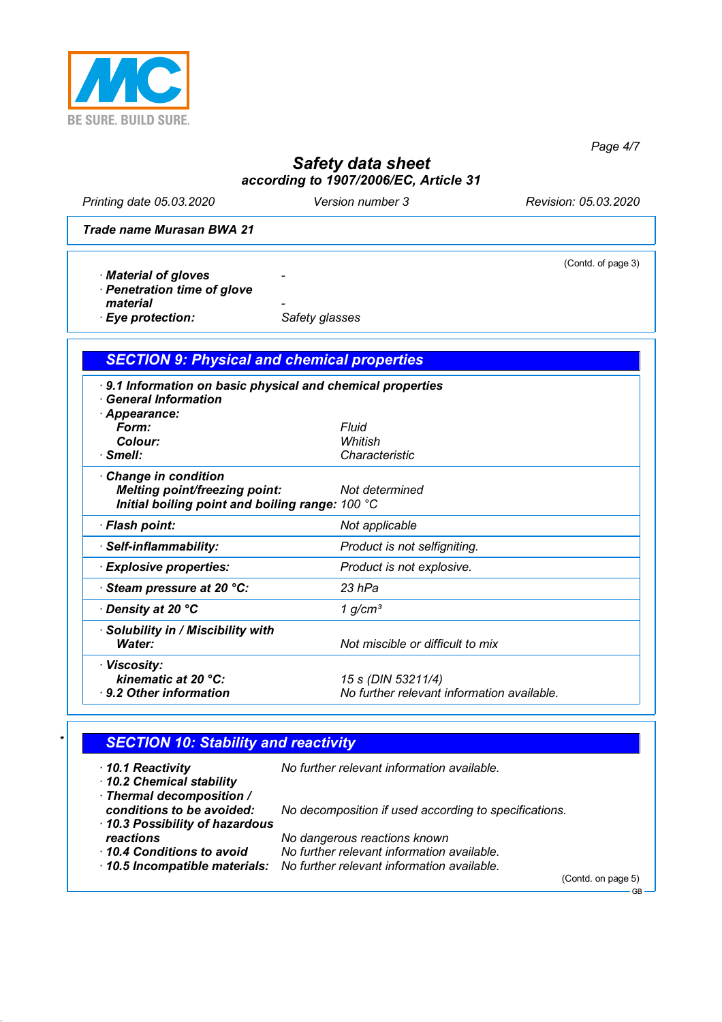

*Page 4/7*

# *Safety data sheet according to 1907/2006/EC, Article 31*

*Printing date 05.03.2020 Version number 3 Revision: 05.03.2020*

(Contd. of page 3)

*Trade name Murasan BWA 21*

- *· Material of gloves*
- *· Penetration time of glove*
- 
- material **Figure 2 material**<br> **Eye protection:** Safety glasses  $\cdot$  *Eye protection:*

## *SECTION 9: Physical and chemical properties*

| 9.1 Information on basic physical and chemical properties<br>· General Information |                                            |
|------------------------------------------------------------------------------------|--------------------------------------------|
| Appearance:                                                                        |                                            |
| Form:                                                                              | Fluid                                      |
| Colour:                                                                            | Whitish                                    |
| $\cdot$ Smell:                                                                     | Characteristic                             |
| Change in condition                                                                |                                            |
| <b>Melting point/freezing point:</b>                                               | Not determined                             |
| Initial boiling point and boiling range: 100 °C                                    |                                            |
| · Flash point:                                                                     | Not applicable                             |
| · Self-inflammability:                                                             | Product is not selfigniting.               |
| · Explosive properties:                                                            | Product is not explosive.                  |
| Steam pressure at 20 °C:                                                           | 23 hPa                                     |
| ⋅ Density at 20 °C                                                                 | 1 $g/cm3$                                  |
| · Solubility in / Miscibility with                                                 |                                            |
| Water:                                                                             | Not miscible or difficult to mix           |
| · Viscosity:                                                                       |                                            |
| kinematic at 20 °C:                                                                | 15 s (DIN 53211/4)                         |
| ⋅ 9.2 Other information                                                            | No further relevant information available. |
|                                                                                    |                                            |

## *\* SECTION 10: Stability and reactivity*

| $\cdot$ 10.1 Reactivity<br>10.2 Chemical stability<br>· Thermal decomposition / | No further relevant information available.                                      |
|---------------------------------------------------------------------------------|---------------------------------------------------------------------------------|
| conditions to be avoided:<br>10.3 Possibility of hazardous                      | No decomposition if used according to specifications.                           |
| reactions                                                                       | No dangerous reactions known                                                    |
| 10.4 Conditions to avoid                                                        | No further relevant information available.                                      |
|                                                                                 | $\cdot$ 10.5 Incompatible materials: No further relevant information available. |
|                                                                                 | (Contd. on page 5)                                                              |
|                                                                                 | <b>GB</b>                                                                       |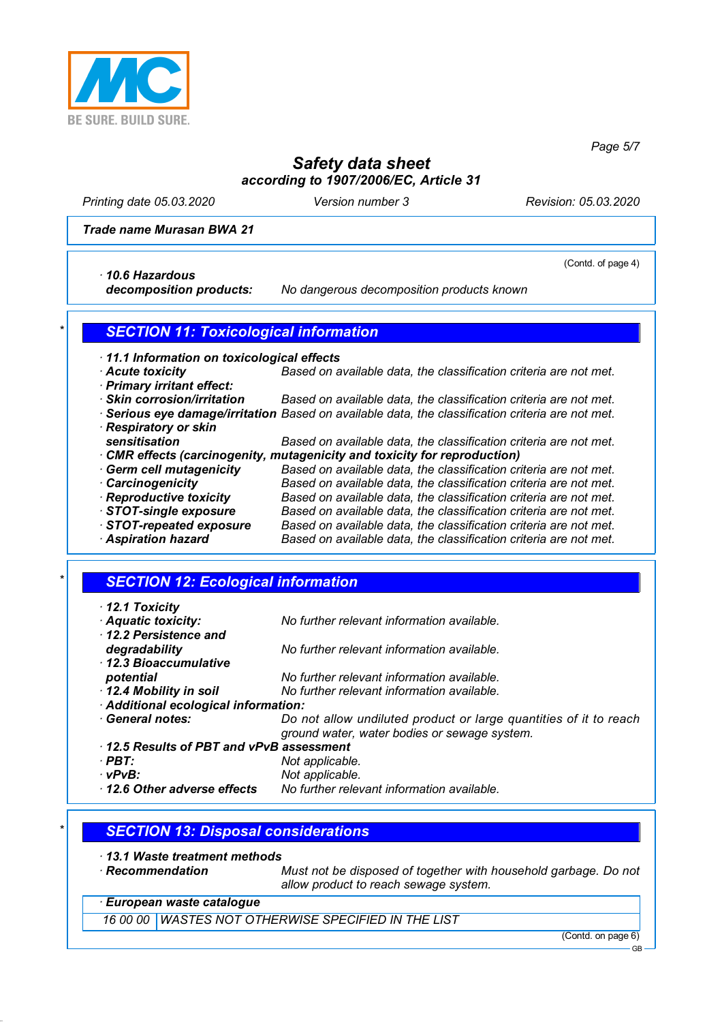

*Page 5/7*

## *Safety data sheet according to 1907/2006/EC, Article 31*

*Printing date 05.03.2020 Version number 3 Revision: 05.03.2020*

(Contd. of page 4)

#### *Trade name Murasan BWA 21*

*· 10.6 Hazardous*

*decomposition products: No dangerous decomposition products known*

#### *\* SECTION 11: Toxicological information*

- *· 11.1 Information on toxicological effects*
- *· Acute toxicity Based on available data, the classification criteria are not met. · Primary irritant effect:*
- 
- *· Skin corrosion/irritation Based on available data, the classification criteria are not met.*
- *· Serious eye damage/irritation Based on available data, the classification criteria are not met. · Respiratory or skin sensitisation Based on available data, the classification criteria are not met. · CMR effects (carcinogenity, mutagenicity and toxicity for reproduction) · Germ cell mutagenicity Based on available data, the classification criteria are not met. · Carcinogenicity Based on available data, the classification criteria are not met. · Reproductive toxicity Based on available data, the classification criteria are not met.*
- *· STOT-single exposure Based on available data, the classification criteria are not met. · STOT-repeated exposure Based on available data, the classification criteria are not met. · Aspiration hazard Based on available data, the classification criteria are not met.*

#### *\* SECTION 12: Ecological information*

- *· 12.1 Toxicity · Aquatic toxicity: No further relevant information available. · 12.2 Persistence and degradability No further relevant information available. · 12.3 Bioaccumulative potential No further relevant information available. · 12.4 Mobility in soil No further relevant information available. · Additional ecological information: · General notes: Do not allow undiluted product or large quantities of it to reach ground water, water bodies or sewage system. · 12.5 Results of PBT and vPvB assessment · PBT: Not applicable. · vPvB: Not applicable. · 12.6 Other adverse effects No further relevant information available.*
	- *\* SECTION 13: Disposal considerations*
- *· 13.1 Waste treatment methods*
- 
- *Must not be disposed of together with household garbage. Do not allow product to reach sewage system.*
- *· European waste catalogue*

*16 00 00 WASTES NOT OTHERWISE SPECIFIED IN THE LIST*

(Contd. on page 6)

GB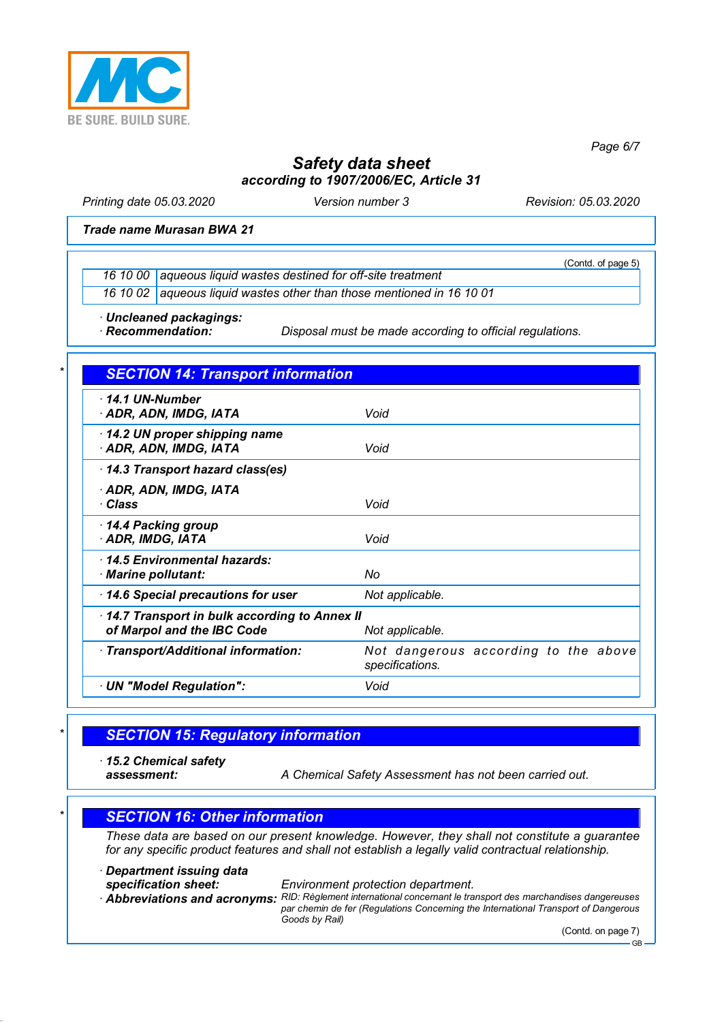

*Page 6/7*

## *Safety data sheet according to 1907/2006/EC, Article 31*

*Printing date 05.03.2020 Version number 3 Revision: 05.03.2020*

(Contd. of page 5)

#### *Trade name Murasan BWA 21*

*16 10 00 aqueous liquid wastes destined for off-site treatment*

*16 10 02 aqueous liquid wastes other than those mentioned in 16 10 01*

*· Uncleaned packagings:*

*Disposal must be made according to official regulations.* 

| 14.1 UN-Number<br>· ADR, ADN, IMDG, IATA                                   | Void                                                    |
|----------------------------------------------------------------------------|---------------------------------------------------------|
| 14.2 UN proper shipping name<br>ADR, ADN, IMDG, IATA                       | Void                                                    |
| 14.3 Transport hazard class(es)                                            |                                                         |
| · ADR, ADN, IMDG, IATA<br>· Class                                          | Void                                                    |
| 14.4 Packing group<br>· ADR, IMDG, IATA                                    | Void                                                    |
| 14.5 Environmental hazards:<br>· Marine pollutant:                         | No                                                      |
| 14.6 Special precautions for user                                          | Not applicable.                                         |
| 14.7 Transport in bulk according to Annex II<br>of Marpol and the IBC Code | Not applicable.                                         |
| · Transport/Additional information:                                        | Not dangerous according to the above<br>specifications. |
| · UN "Model Regulation":                                                   | Void                                                    |

### *\* SECTION 15: Regulatory information*

*· 15.2 Chemical safety*

*assessment: A Chemical Safety Assessment has not been carried out.*

#### *\* SECTION 16: Other information*

*These data are based on our present knowledge. However, they shall not constitute a guarantee for any specific product features and shall not establish a legally valid contractual relationship.*

*· Department issuing data*

*specification sheet: Environment protection department.*

*· Abbreviations and acronyms: RID: Règlement international concernant le transport des marchandises dangereuses par chemin de fer (Regulations Concerning the International Transport of Dangerous Goods by Rail)*

(Contd. on page 7)

GB